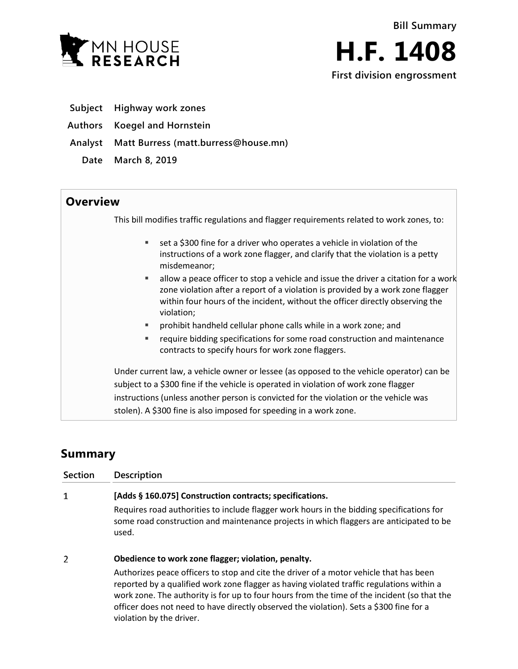



- **Subject Highway work zones**
- **Authors Koegel and Hornstein**
- **Analyst Matt Burress (matt.burress@house.mn)**
	- **Date March 8, 2019**

## **Overview**

This bill modifies traffic regulations and flagger requirements related to work zones, to:

- set a \$300 fine for a driver who operates a vehicle in violation of the instructions of a work zone flagger, and clarify that the violation is a petty misdemeanor;
- $\blacksquare$  allow a peace officer to stop a vehicle and issue the driver a citation for a work zone violation after a report of a violation is provided by a work zone flagger within four hours of the incident, without the officer directly observing the violation;
- prohibit handheld cellular phone calls while in a work zone; and
- require bidding specifications for some road construction and maintenance contracts to specify hours for work zone flaggers.

Under current law, a vehicle owner or lessee (as opposed to the vehicle operator) can be subject to a \$300 fine if the vehicle is operated in violation of work zone flagger instructions (unless another person is convicted for the violation or the vehicle was stolen). A \$300 fine is also imposed for speeding in a work zone.

# **Summary**

| Section | <b>Description</b>                                                                                                                                                                            |
|---------|-----------------------------------------------------------------------------------------------------------------------------------------------------------------------------------------------|
| 1       | [Adds § 160.075] Construction contracts; specifications.                                                                                                                                      |
|         | Requires road authorities to include flagger work hours in the bidding specifications for<br>some road construction and maintenance projects in which flaggers are anticipated to be<br>used. |
| 2       | Obedience to work zone flagger; violation, penalty.                                                                                                                                           |
|         | Authorizes peace officers to stop and cite the driver of a motor vehicle that has been<br>reported by a qualified work zone flagger as having violated traffic regulations within a           |

reported by a qualified work zone flagger as having violated traffic regulations within a work zone. The authority is for up to four hours from the time of the incident (so that the officer does not need to have directly observed the violation). Sets a \$300 fine for a violation by the driver.